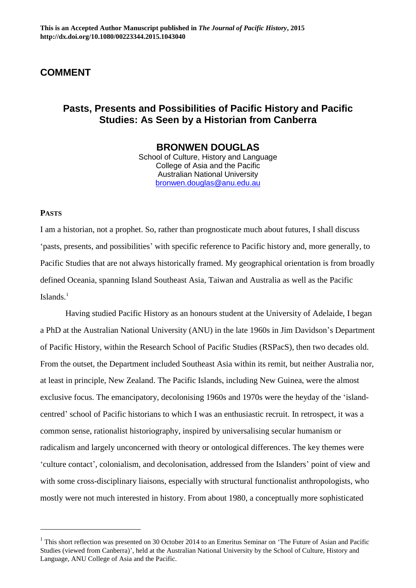## **COMMENT**

# **Pasts, Presents and Possibilities of Pacific History and Pacific Studies: As Seen by a Historian from Canberra**

**BRONWEN DOUGLAS** School of Culture, History and Language College of Asia and the Pacific Australian National University [bronwen.douglas@anu.edu.au](mailto:bronwen.douglas@anu.edu.au)

### **PASTS**

 $\overline{a}$ 

I am a historian, not a prophet. So, rather than prognosticate much about futures, I shall discuss 'pasts, presents, and possibilities' with specific reference to Pacific history and, more generally, to Pacific Studies that are not always historically framed. My geographical orientation is from broadly defined Oceania, spanning Island Southeast Asia, Taiwan and Australia as well as the Pacific Islands. 1

Having studied Pacific History as an honours student at the University of Adelaide, I began a PhD at the Australian National University (ANU) in the late 1960s in Jim Davidson's Department of Pacific History, within the Research School of Pacific Studies (RSPacS), then two decades old. From the outset, the Department included Southeast Asia within its remit, but neither Australia nor, at least in principle, New Zealand. The Pacific Islands, including New Guinea, were the almost exclusive focus. The emancipatory, decolonising 1960s and 1970s were the heyday of the 'islandcentred' school of Pacific historians to which I was an enthusiastic recruit. In retrospect, it was a common sense, rationalist historiography, inspired by universalising secular humanism or radicalism and largely unconcerned with theory or ontological differences. The key themes were 'culture contact', colonialism, and decolonisation, addressed from the Islanders' point of view and with some cross-disciplinary liaisons, especially with structural functionalist anthropologists, who mostly were not much interested in history. From about 1980, a conceptually more sophisticated

<sup>&</sup>lt;sup>1</sup> This short reflection was presented on 30 October 2014 to an Emeritus Seminar on 'The Future of Asian and Pacific Studies (viewed from Canberra)', held at the Australian National University by the School of Culture, History and Language, ANU College of Asia and the Pacific.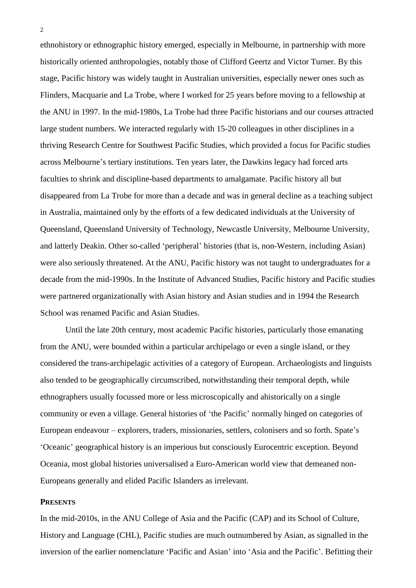ethnohistory or ethnographic history emerged, especially in Melbourne, in partnership with more historically oriented anthropologies, notably those of Clifford Geertz and Victor Turner. By this stage, Pacific history was widely taught in Australian universities, especially newer ones such as Flinders, Macquarie and La Trobe, where I worked for 25 years before moving to a fellowship at the ANU in 1997. In the mid-1980s, La Trobe had three Pacific historians and our courses attracted large student numbers. We interacted regularly with 15-20 colleagues in other disciplines in a thriving Research Centre for Southwest Pacific Studies, which provided a focus for Pacific studies across Melbourne's tertiary institutions. Ten years later, the Dawkins legacy had forced arts faculties to shrink and discipline-based departments to amalgamate. Pacific history all but disappeared from La Trobe for more than a decade and was in general decline as a teaching subject in Australia, maintained only by the efforts of a few dedicated individuals at the University of Queensland, Queensland University of Technology, Newcastle University, Melbourne University, and latterly Deakin. Other so-called 'peripheral' histories (that is, non-Western, including Asian) were also seriously threatened. At the ANU, Pacific history was not taught to undergraduates for a decade from the mid-1990s. In the Institute of Advanced Studies, Pacific history and Pacific studies were partnered organizationally with Asian history and Asian studies and in 1994 the Research School was renamed Pacific and Asian Studies.

Until the late 20th century, most academic Pacific histories, particularly those emanating from the ANU, were bounded within a particular archipelago or even a single island, or they considered the trans-archipelagic activities of a category of European. Archaeologists and linguists also tended to be geographically circumscribed, notwithstanding their temporal depth, while ethnographers usually focussed more or less microscopically and ahistorically on a single community or even a village. General histories of 'the Pacific' normally hinged on categories of European endeavour – explorers, traders, missionaries, settlers, colonisers and so forth. Spate's 'Oceanic' geographical history is an imperious but consciously Eurocentric exception. Beyond Oceania, most global histories universalised a Euro-American world view that demeaned non-Europeans generally and elided Pacific Islanders as irrelevant.

#### **PRESENTS**

In the mid-2010s, in the ANU College of Asia and the Pacific (CAP) and its School of Culture, History and Language (CHL), Pacific studies are much outnumbered by Asian, as signalled in the inversion of the earlier nomenclature 'Pacific and Asian' into 'Asia and the Pacific'. Befitting their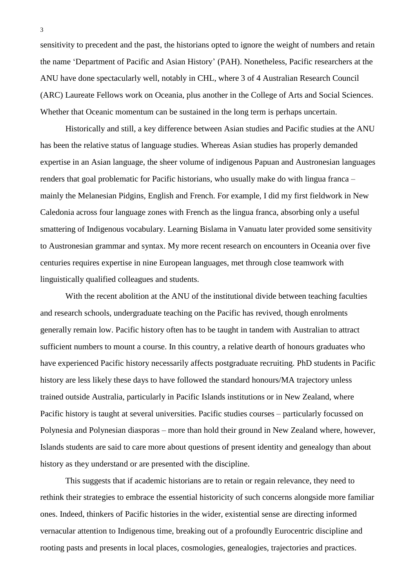sensitivity to precedent and the past, the historians opted to ignore the weight of numbers and retain the name 'Department of Pacific and Asian History' (PAH). Nonetheless, Pacific researchers at the ANU have done spectacularly well, notably in CHL, where 3 of 4 Australian Research Council (ARC) Laureate Fellows work on Oceania, plus another in the College of Arts and Social Sciences. Whether that Oceanic momentum can be sustained in the long term is perhaps uncertain.

Historically and still, a key difference between Asian studies and Pacific studies at the ANU has been the relative status of language studies. Whereas Asian studies has properly demanded expertise in an Asian language, the sheer volume of indigenous Papuan and Austronesian languages renders that goal problematic for Pacific historians, who usually make do with lingua franca – mainly the Melanesian Pidgins, English and French. For example, I did my first fieldwork in New Caledonia across four language zones with French as the lingua franca, absorbing only a useful smattering of Indigenous vocabulary. Learning Bislama in Vanuatu later provided some sensitivity to Austronesian grammar and syntax. My more recent research on encounters in Oceania over five centuries requires expertise in nine European languages, met through close teamwork with linguistically qualified colleagues and students.

With the recent abolition at the ANU of the institutional divide between teaching faculties and research schools, undergraduate teaching on the Pacific has revived, though enrolments generally remain low. Pacific history often has to be taught in tandem with Australian to attract sufficient numbers to mount a course. In this country, a relative dearth of honours graduates who have experienced Pacific history necessarily affects postgraduate recruiting. PhD students in Pacific history are less likely these days to have followed the standard honours/MA trajectory unless trained outside Australia, particularly in Pacific Islands institutions or in New Zealand, where Pacific history is taught at several universities. Pacific studies courses – particularly focussed on Polynesia and Polynesian diasporas – more than hold their ground in New Zealand where, however, Islands students are said to care more about questions of present identity and genealogy than about history as they understand or are presented with the discipline.

This suggests that if academic historians are to retain or regain relevance, they need to rethink their strategies to embrace the essential historicity of such concerns alongside more familiar ones. Indeed, thinkers of Pacific histories in the wider, existential sense are directing informed vernacular attention to Indigenous time, breaking out of a profoundly Eurocentric discipline and rooting pasts and presents in local places, cosmologies, genealogies, trajectories and practices.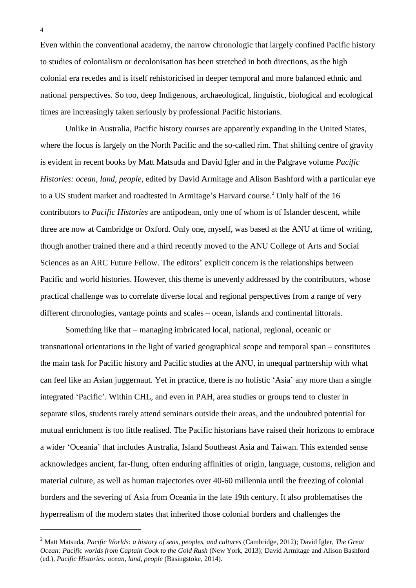Even within the conventional academy, the narrow chronologic that largely confined Pacific history to studies of colonialism or decolonisation has been stretched in both directions, as the high colonial era recedes and is itself rehistoricised in deeper temporal and more balanced ethnic and national perspectives. So too, deep Indigenous, archaeological, linguistic, biological and ecological times are increasingly taken seriously by professional Pacific historians.

Unlike in Australia, Pacific history courses are apparently expanding in the United States, where the focus is largely on the North Pacific and the so-called rim. That shifting centre of gravity is evident in recent books by Matt Matsuda and David Igler and in the Palgrave volume *Pacific Histories: ocean, land, people*, edited by David Armitage and Alison Bashford with a particular eye to a US student market and roadtested in Armitage's Harvard course. <sup>2</sup> Only half of the 16 contributors to *Pacific Histories* are antipodean, only one of whom is of Islander descent, while three are now at Cambridge or Oxford. Only one, myself, was based at the ANU at time of writing, though another trained there and a third recently moved to the ANU College of Arts and Social Sciences as an ARC Future Fellow. The editors' explicit concern is the relationships between Pacific and world histories. However, this theme is unevenly addressed by the contributors, whose practical challenge was to correlate diverse local and regional perspectives from a range of very different chronologies, vantage points and scales – ocean, islands and continental littorals.

Something like that – managing imbricated local, national, regional, oceanic or transnational orientations in the light of varied geographical scope and temporal span – constitutes the main task for Pacific history and Pacific studies at the ANU, in unequal partnership with what can feel like an Asian juggernaut. Yet in practice, there is no holistic 'Asia' any more than a single integrated 'Pacific'. Within CHL, and even in PAH, area studies or groups tend to cluster in separate silos, students rarely attend seminars outside their areas, and the undoubted potential for mutual enrichment is too little realised. The Pacific historians have raised their horizons to embrace a wider 'Oceania' that includes Australia, Island Southeast Asia and Taiwan. This extended sense acknowledges ancient, far-flung, often enduring affinities of origin, language, customs, religion and material culture, as well as human trajectories over 40-60 millennia until the freezing of colonial borders and the severing of Asia from Oceania in the late 19th century. It also problematises the hyperrealism of the modern states that inherited those colonial borders and challenges the

 $\overline{a}$ 

<sup>2</sup> Matt Matsuda, *Pacific Worlds: a history of seas, peoples, and cultures* (Cambridge, 2012); David Igler, *The Great Ocean: Pacific worlds from Captain Cook to the Gold Rush* (New York, 2013); David Armitage and Alison Bashford (ed.), *Pacific Histories: ocean, land, people* (Basingstoke, 2014).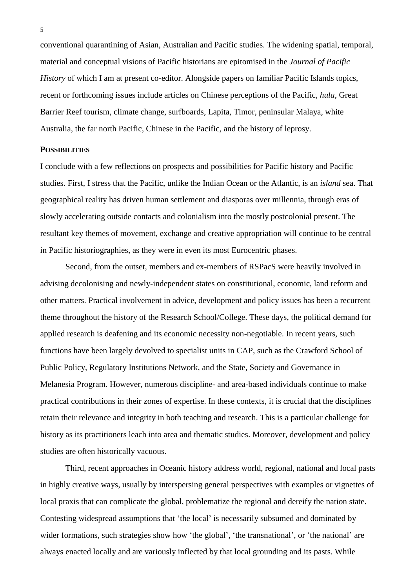conventional quarantining of Asian, Australian and Pacific studies. The widening spatial, temporal, material and conceptual visions of Pacific historians are epitomised in the *Journal of Pacific History* of which I am at present co-editor. Alongside papers on familiar Pacific Islands topics, recent or forthcoming issues include articles on Chinese perceptions of the Pacific, *hula*, Great Barrier Reef tourism, climate change, surfboards, Lapita, Timor, peninsular Malaya, white Australia, the far north Pacific, Chinese in the Pacific, and the history of leprosy.

### **POSSIBILITIES**

I conclude with a few reflections on prospects and possibilities for Pacific history and Pacific studies. First, I stress that the Pacific, unlike the Indian Ocean or the Atlantic, is an *island* sea. That geographical reality has driven human settlement and diasporas over millennia, through eras of slowly accelerating outside contacts and colonialism into the mostly postcolonial present. The resultant key themes of movement, exchange and creative appropriation will continue to be central in Pacific historiographies, as they were in even its most Eurocentric phases.

Second, from the outset, members and ex-members of RSPacS were heavily involved in advising decolonising and newly-independent states on constitutional, economic, land reform and other matters. Practical involvement in advice, development and policy issues has been a recurrent theme throughout the history of the Research School/College. These days, the political demand for applied research is deafening and its economic necessity non-negotiable. In recent years, such functions have been largely devolved to specialist units in CAP, such as the Crawford School of Public Policy, Regulatory Institutions Network, and the State, Society and Governance in Melanesia Program. However, numerous discipline- and area-based individuals continue to make practical contributions in their zones of expertise. In these contexts, it is crucial that the disciplines retain their relevance and integrity in both teaching and research. This is a particular challenge for history as its practitioners leach into area and thematic studies. Moreover, development and policy studies are often historically vacuous.

Third, recent approaches in Oceanic history address world, regional, national and local pasts in highly creative ways, usually by interspersing general perspectives with examples or vignettes of local praxis that can complicate the global, problematize the regional and dereify the nation state. Contesting widespread assumptions that 'the local' is necessarily subsumed and dominated by wider formations, such strategies show how 'the global', 'the transnational', or 'the national' are always enacted locally and are variously inflected by that local grounding and its pasts. While